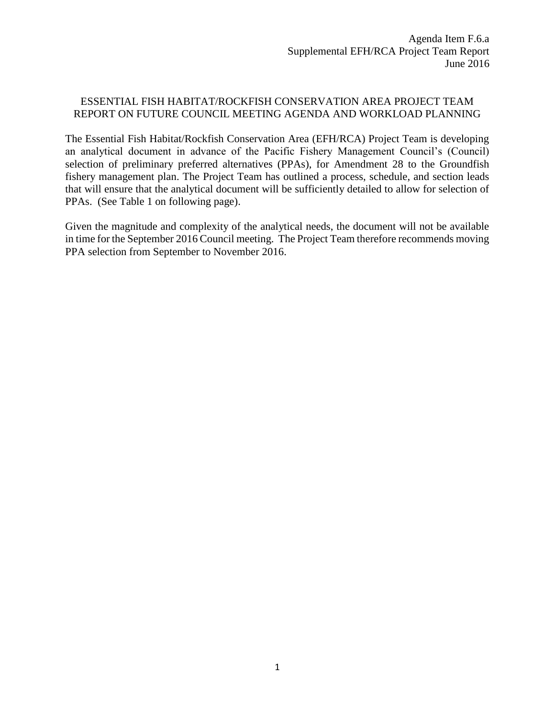## ESSENTIAL FISH HABITAT/ROCKFISH CONSERVATION AREA PROJECT TEAM REPORT ON FUTURE COUNCIL MEETING AGENDA AND WORKLOAD PLANNING

The Essential Fish Habitat/Rockfish Conservation Area (EFH/RCA) Project Team is developing an analytical document in advance of the Pacific Fishery Management Council's (Council) selection of preliminary preferred alternatives (PPAs), for Amendment 28 to the Groundfish fishery management plan. The Project Team has outlined a process, schedule, and section leads that will ensure that the analytical document will be sufficiently detailed to allow for selection of PPAs. (See Table 1 on following page).

Given the magnitude and complexity of the analytical needs, the document will not be available in time for the September 2016 Council meeting. The Project Team therefore recommends moving PPA selection from September to November 2016.